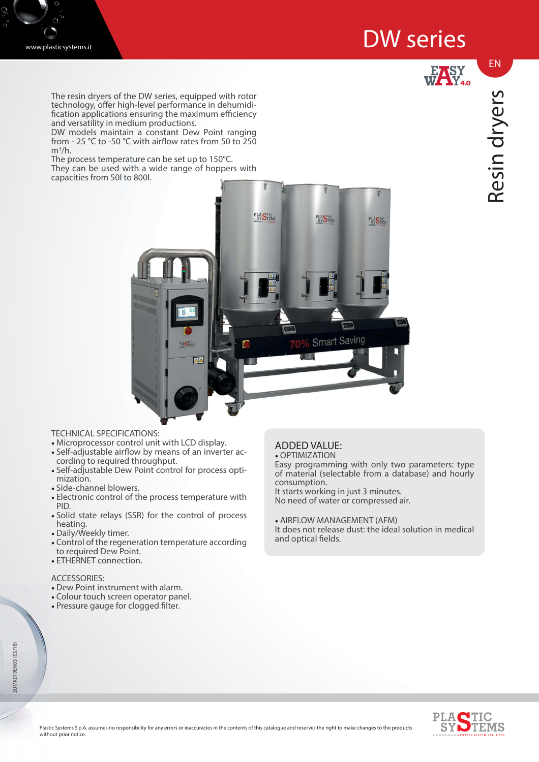# DW series





The resin dryers of the DW series, equipped with rotor technology, offer high-level performance in dehumidi $f$  fication applications ensuring the maximum efficiency and versatility in medium productions.

DW models maintain a constant Dew Point ranging from - 25 °C to -50 °C with airflow rates from 50 to 250  $m^3/h$ .

The process temperature can be set up to 150°C.

They can be used with a wide range of hoppers with capacities from 50l to 800l.

EN



### TECHNICAL SPECIFICATIONS:

- Microprocessor control unit with LCD display.
- Self-adjustable airflow by means of an inverter according to required throughput.
- Self-adjustable Dew Point control for process optimization.
- Side-channel blowers.
- Electronic control of the process temperature with PID.
- Solid state relays (SSR) for the control of process heating.
- Daily/Weekly timer.
- Control of the regeneration temperature according to required Dew Point.
- ETHERNET connection.

### ACCESSORIES:

- Dew Point instrument with alarm.
- Colour touch screen operator panel.
- Pressure gauge for clogged filter.

#### ADDED VALUE: • OPTIMIZATION

Easy programming with only two parameters: type of material (selectable from a database) and hourly consumption. It starts working in just 3 minutes. No need of water or compressed air.

• AIRFLOW MANAGEMENT (AFM) It does not release dust: the ideal solution in medical and optical fields.